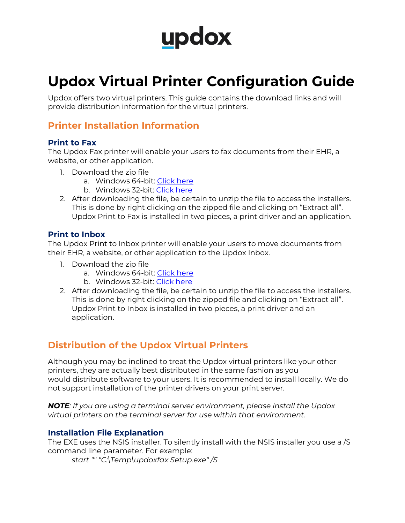# updox

# **Updox Virtual Printer Configuration Guide**

Updox offers two virtual printers. This guide contains the download links and will provide distribution information for the virtual printers.

# **Printer Installation Information**

#### **Print to Fax**

The Updox Fax printer will enable your users to fax documents from their EHR, a website, or other application.

- 1. Download the zip file
	- a. Windows 64-bit: Click here
	- b. Windows 32-bit: Click here
- 2. After downloading the file, be certain to unzip the file to access the installers. This is done by right clicking on the zipped file and clicking on "Extract all". Updox Print to Fax is installed in two pieces, a print driver and an application.

#### **Print to Inbox**

The Updox Print to Inbox printer will enable your users to move documents from their EHR, a website, or other application to the Updox Inbox.

- 1. Download the zip file
	- a. Windows 64-bit: Click here
	- b. Windows 32-bit: Click here
- 2. After downloading the file, be certain to unzip the file to access the installers. This is done by right clicking on the zipped file and clicking on "Extract all". Updox Print to Inbox is installed in two pieces, a print driver and an application.

## **Distribution of the Updox Virtual Printers**

Although you may be inclined to treat the Updox virtual printers like your other printers, they are actually best distributed in the same fashion as you would distribute software to your users. It is recommended to install locally. We do not support installation of the printer drivers on your print server.

*NOTE: If you are using a terminal server environment, please install the Updox virtual printers on the terminal server for use within that environment.*

#### **Installation File Explanation**

The EXE uses the NSIS installer. To silently install with the NSIS installer you use a /S command line parameter. For example:

*start "" "C:\Temp\updoxfax Setup.exe" /S*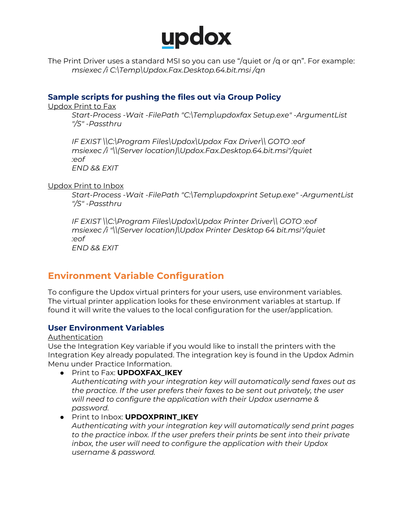

The Print Driver uses a standard MSI so you can use "/quiet or /q or qn". For example: *msiexec /i C:\Temp\Updox.Fax.Desktop.64.bit.msi /qn*

#### **Sample scripts for pushing the files out via Group Policy**

Updox Print to Fax

*Start-Process -Wait -FilePath "C:\Temp\updoxfax Setup.exe" -ArgumentList "/S" -Passthru*

*IF EXIST \\C:\Program Files\Updox\Updox Fax Driver\\ GOTO :eof msiexec /i "\\(Server location)\Updox.Fax.Desktop.64.bit.msi"/quiet :eof END && EXIT*

Updox Print to Inbox

*Start-Process -Wait -FilePath "C:\Temp\updoxprint Setup.exe" -ArgumentList "/S" -Passthru*

*IF EXIST \\C:\Program Files\Updox\Updox Printer Driver\\ GOTO :eof msiexec /i "\\(Server location)\Updox Printer Desktop 64 bit.msi"/quiet :eof END && EXIT*

### **Environment Variable Configuration**

To configure the Updox virtual printers for your users, use environment variables. The virtual printer application looks for these environment variables at startup. If found it will write the values to the local configuration for the user/application.

#### **User Environment Variables**

Authentication

Use the Integration Key variable if you would like to install the printers with the Integration Key already populated. The integration key is found in the Updox Admin Menu under Practice Information.

● Print to Fax: **UPDOXFAX\_IKEY**

*Authenticating with your integration key will automatically send faxes out as the practice. If the user prefers their faxes to be sent out privately, the user will need to configure the application with their Updox username & password.*

- Print to Inbox: **UPDOXPRINT\_IKEY**
	- *Authenticating with your integration key will automatically send print pages to the practice inbox. If the user prefers their prints be sent into their private inbox, the user will need to configure the application with their Updox username & password.*